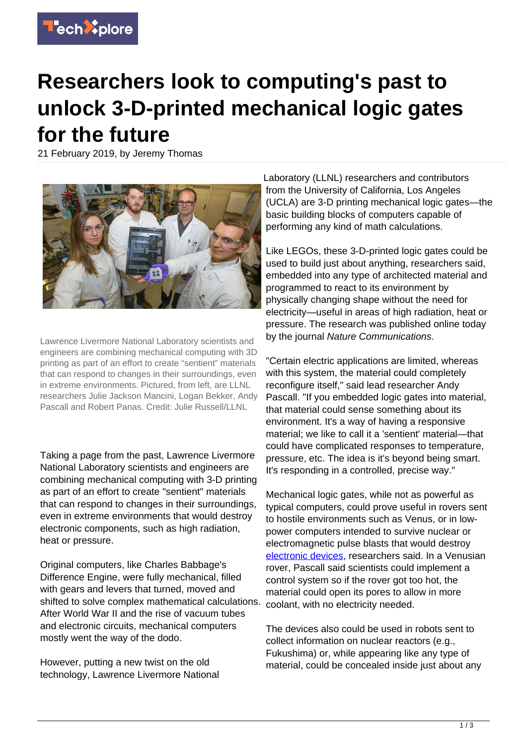

## **Researchers look to computing's past to unlock 3-D-printed mechanical logic gates for the future**

21 February 2019, by Jeremy Thomas



Lawrence Livermore National Laboratory scientists and engineers are combining mechanical computing with 3D printing as part of an effort to create "sentient" materials that can respond to changes in their surroundings, even in extreme environments. Pictured, from left, are LLNL researchers Julie Jackson Mancini, Logan Bekker, Andy Pascall and Robert Panas. Credit: Julie Russell/LLNL

Taking a page from the past, Lawrence Livermore National Laboratory scientists and engineers are combining mechanical computing with 3-D printing as part of an effort to create "sentient" materials that can respond to changes in their surroundings, even in extreme environments that would destroy electronic components, such as high radiation, heat or pressure.

Original computers, like Charles Babbage's Difference Engine, were fully mechanical, filled with gears and levers that turned, moved and shifted to solve complex mathematical calculations. After World War II and the rise of vacuum tubes and electronic circuits, mechanical computers mostly went the way of the dodo.

However, putting a new twist on the old technology, Lawrence Livermore National Laboratory (LLNL) researchers and contributors from the University of California, Los Angeles (UCLA) are 3-D printing mechanical logic gates—the basic building blocks of computers capable of performing any kind of math calculations.

Like LEGOs, these 3-D-printed logic gates could be used to build just about anything, researchers said, embedded into any type of architected material and programmed to react to its environment by physically changing shape without the need for electricity—useful in areas of high radiation, heat or pressure. The research was published online today by the journal Nature Communications.

"Certain electric applications are limited, whereas with this system, the material could completely reconfigure itself," said lead researcher Andy Pascall. "If you embedded logic gates into material, that material could sense something about its environment. It's a way of having a responsive material; we like to call it a 'sentient' material—that could have complicated responses to temperature, pressure, etc. The idea is it's beyond being smart. It's responding in a controlled, precise way."

Mechanical logic gates, while not as powerful as typical computers, could prove useful in rovers sent to hostile environments such as Venus, or in lowpower computers intended to survive nuclear or electromagnetic pulse blasts that would destroy [electronic devices,](https://techxplore.com/tags/electronic+devices/) researchers said. In a Venusian rover, Pascall said scientists could implement a control system so if the rover got too hot, the material could open its pores to allow in more coolant, with no electricity needed.

The devices also could be used in robots sent to collect information on nuclear reactors (e.g., Fukushima) or, while appearing like any type of material, could be concealed inside just about any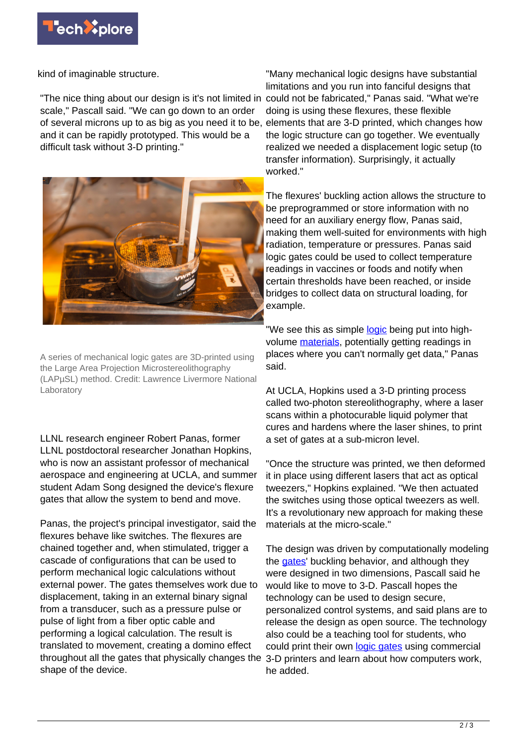

kind of imaginable structure.

"The nice thing about our design is it's not limited in could not be fabricated," Panas said. "What we're scale," Pascall said. "We can go down to an order of several microns up to as big as you need it to be, elements that are 3-D printed, which changes how and it can be rapidly prototyped. This would be a difficult task without 3-D printing."



A series of mechanical logic gates are 3D-printed using the Large Area Projection Microstereolithography (LAPµSL) method. Credit: Lawrence Livermore National Laboratory

LLNL research engineer Robert Panas, former LLNL postdoctoral researcher Jonathan Hopkins, who is now an assistant professor of mechanical aerospace and engineering at UCLA, and summer student Adam Song designed the device's flexure gates that allow the system to bend and move.

Panas, the project's principal investigator, said the flexures behave like switches. The flexures are chained together and, when stimulated, trigger a cascade of configurations that can be used to perform mechanical logic calculations without external power. The gates themselves work due to displacement, taking in an external binary signal from a transducer, such as a pressure pulse or pulse of light from a fiber optic cable and performing a logical calculation. The result is translated to movement, creating a domino effect throughout all the gates that physically changes the shape of the device.

"Many mechanical logic designs have substantial limitations and you run into fanciful designs that doing is using these flexures, these flexible the logic structure can go together. We eventually realized we needed a displacement logic setup (to transfer information). Surprisingly, it actually worked."

The flexures' buckling action allows the structure to be preprogrammed or store information with no need for an auxiliary energy flow, Panas said, making them well-suited for environments with high radiation, temperature or pressures. Panas said logic gates could be used to collect temperature readings in vaccines or foods and notify when certain thresholds have been reached, or inside bridges to collect data on structural loading, for example.

"We see this as simple [logic](https://techxplore.com/tags/logic/) being put into highvolume [materials,](https://techxplore.com/tags/materials/) potentially getting readings in places where you can't normally get data," Panas said.

At UCLA, Hopkins used a 3-D printing process called two-photon stereolithography, where a laser scans within a photocurable liquid polymer that cures and hardens where the laser shines, to print a set of gates at a sub-micron level.

"Once the structure was printed, we then deformed it in place using different lasers that act as optical tweezers," Hopkins explained. "We then actuated the switches using those optical tweezers as well. It's a revolutionary new approach for making these materials at the micro-scale."

The design was driven by computationally modeling the [gates](https://techxplore.com/tags/gates/)' buckling behavior, and although they were designed in two dimensions, Pascall said he would like to move to 3-D. Pascall hopes the technology can be used to design secure, personalized control systems, and said plans are to release the design as open source. The technology also could be a teaching tool for students, who could print their own [logic gates](https://techxplore.com/tags/logic+gates/) using commercial 3-D printers and learn about how computers work, he added.